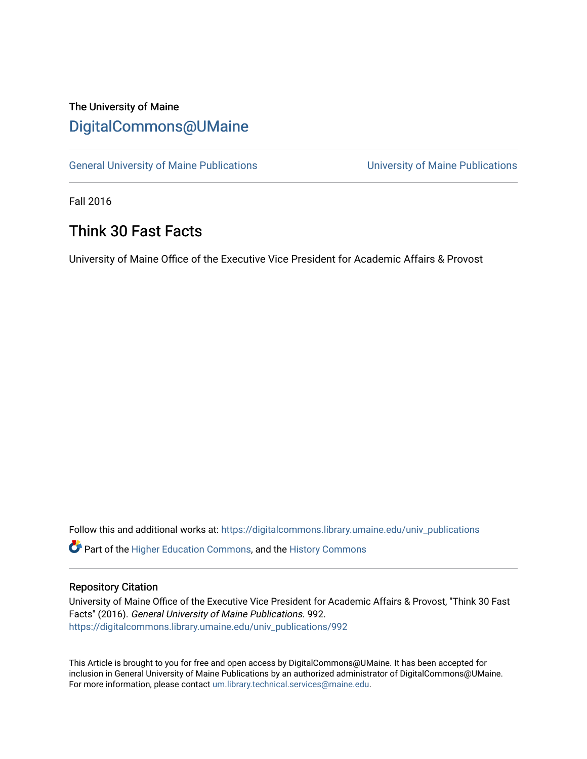## The University of Maine [DigitalCommons@UMaine](https://digitalcommons.library.umaine.edu/)

[General University of Maine Publications](https://digitalcommons.library.umaine.edu/univ_publications) [University of Maine Publications](https://digitalcommons.library.umaine.edu/umaine_publications) 

Fall 2016

## Think 30 Fast Facts

University of Maine Office of the Executive Vice President for Academic Affairs & Provost

Follow this and additional works at: [https://digitalcommons.library.umaine.edu/univ\\_publications](https://digitalcommons.library.umaine.edu/univ_publications?utm_source=digitalcommons.library.umaine.edu%2Funiv_publications%2F992&utm_medium=PDF&utm_campaign=PDFCoverPages) 

**C** Part of the [Higher Education Commons,](http://network.bepress.com/hgg/discipline/1245?utm_source=digitalcommons.library.umaine.edu%2Funiv_publications%2F992&utm_medium=PDF&utm_campaign=PDFCoverPages) and the [History Commons](http://network.bepress.com/hgg/discipline/489?utm_source=digitalcommons.library.umaine.edu%2Funiv_publications%2F992&utm_medium=PDF&utm_campaign=PDFCoverPages)

#### Repository Citation

University of Maine Office of the Executive Vice President for Academic Affairs & Provost, "Think 30 Fast Facts" (2016). General University of Maine Publications. 992. [https://digitalcommons.library.umaine.edu/univ\\_publications/992](https://digitalcommons.library.umaine.edu/univ_publications/992?utm_source=digitalcommons.library.umaine.edu%2Funiv_publications%2F992&utm_medium=PDF&utm_campaign=PDFCoverPages) 

This Article is brought to you for free and open access by DigitalCommons@UMaine. It has been accepted for inclusion in General University of Maine Publications by an authorized administrator of DigitalCommons@UMaine. For more information, please contact [um.library.technical.services@maine.edu](mailto:um.library.technical.services@maine.edu).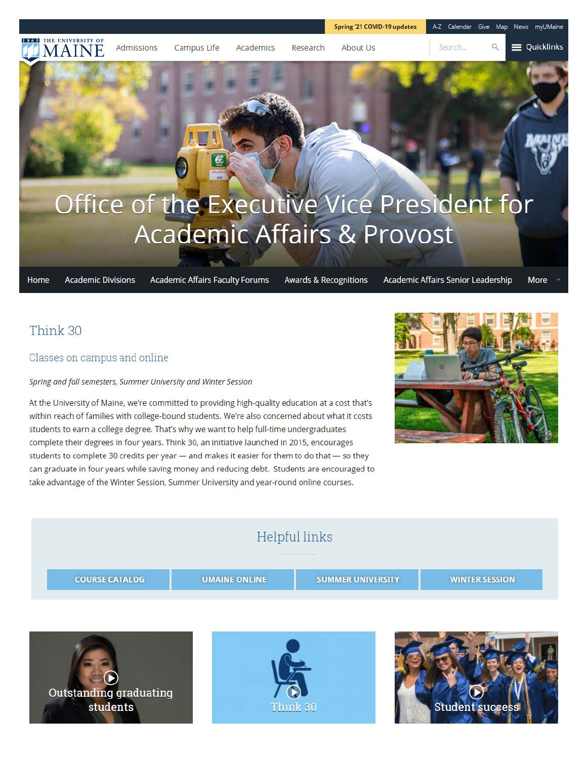Search...

#### $\circ$ **E** Quicklinks

# Office of the Executive Vice President for **Academic Affairs & Provost**

Campus Life Academics Research About Us

Home **Academic Divisions**  **Academic Affairs Faculty Forums** 

**Awards & Recognitions** 

Academic Affairs Senior Leadership More

## Think 30

#### Classes on campus and online

**IDE INCONSITY OF Admissions** 

W N

#### *Spring and fall semesters, Summer University and Winter Session*

At the University of Maine, we're committed to providing high-quality education at a cost that's within reach of families with college-bound students. We're also concerned about what it costs students to earn a college degree. That's why we want to help full-time undergraduates complete their degrees in four years. Think 30, an initiative launched in 2015, encourages students to complete 30 credits per year - and makes it easier for them to do that - so they can graduate in four years while saving money and reducing debt. Students are encouraged to take advantage of the Winter Session, Summer University and year-round online courses.



## Helpful links **UMAINE ONLINE SUMMER UNIVERSITY WINTER SESSION COURSE CATALOG**  , **r!-® Outstanding graduating students**  Think 30 **Student succe**